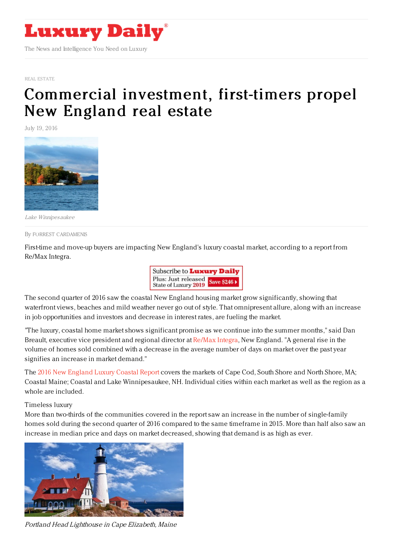

REAL [ESTATE](https://www.luxurydaily.com/category/sectors/real-estate/)

## [Commercial](https://www.luxurydaily.com/commercial-investment-first-timers-propel-new-england-real-estate/) investment, first-timers propel New England real estate

July 19, 2016



Lake Winnipesaukee

By FORREST [CARDAMENIS](file:///author/forrest-cardamenis)

First-time and move-up buyers are impacting New England's luxury coastal market, according to a report from Re/Max Integra.



The second quarter of 2016 saw the coastal New England housing market grow significantly, showing that waterfront views, beaches and mild weather never go out of style. That omnipresent allure, along with an increase in job opportunities and investors and decrease in interest rates, are fueling the market.

"The luxury, coastal home market shows significant promise as we continue into the summer months," said Dan Breault, executive vice president and regional director at [Re/Max](http://www.remax.com/) Integra, New England. "A general rise in the volume of homes sold combined with a decrease in the average number of days on market over the past year signifies an increase in market demand."

The 2016 New [England](http://remaxnecoastalreport.com/) Luxury Coastal Report covers the markets of Cape Cod, South Shore and North Shore, MA; Coastal Maine; Coastal and Lake Winnipesaukee, NH. Individual cities within each market as well as the region as a whole are included.

## Timeless luxury

More than two-thirds of the communities covered in the report saw an increase in the number of single-family homes sold during the second quarter of 2016 compared to the same timeframe in 2015. More than half also saw an increase in median price and days on market decreased, showing that demand is as high as ever.



Portland Head Lighthouse in Cape Elizabeth, Maine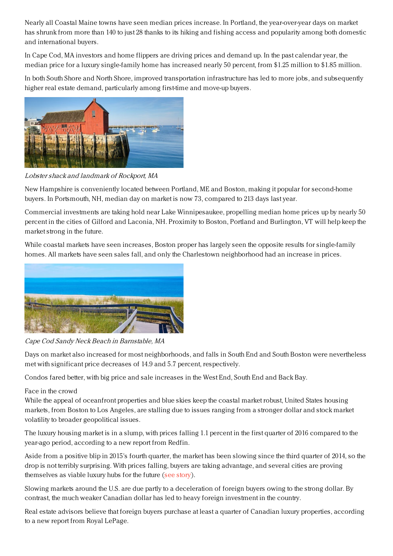Nearly all Coastal Maine towns have seen median prices increase. In Portland, the year-over-year days on market has shrunk from more than 140 to just 28 thanks to its hiking and fishing access and popularity among both domestic and international buyers.

In Cape Cod, MA investors and home flippers are driving prices and demand up. In the past calendar year, the median price for a luxury single-family home has increased nearly 50 percent, from \$1.25 million to \$1.85 million.

In both South Shore and North Shore, improved transportation infrastructure has led to more jobs, and subsequently higher real estate demand, particularly among first-time and move-up buyers.



Lobster shack and landmark of Rockport, MA

New Hampshire is conveniently located between Portland, ME and Boston, making it popular for second-home buyers. In Portsmouth, NH, median day on market is now 73, compared to 213 days last year.

Commercial investments are taking hold near Lake Winnipesaukee, propelling median home prices up by nearly 50 percent in the cities of Gilford and Laconia, NH. Proximity to Boston, Portland and Burlington, VT will help keep the market strong in the future.

While coastal markets have seen increases, Boston proper has largely seen the opposite results for single-family homes. All markets have seen sales fall, and only the Charlestown neighborhood had an increase in prices.



Cape Cod Sandy Neck Beach in Barnstable, MA

Days on market also increased for most neighborhoods, and falls in South End and South Boston were nevertheless met with significant price decreases of 14.9 and 5.7 percent, respectively.

Condos fared better, with big price and sale increases in the West End, South End and Back Bay.

## Face in the crowd

While the appeal of oceanfront properties and blue skies keep the coastal market robust, United States housing markets, from Boston to Los Angeles, are stalling due to issues ranging from a stronger dollar and stock market volatility to broader geopolitical issues.

The luxury housing market is in a slump, with prices falling 1.1 percent in the first quarter of 2016 compared to the year-ago period, according to a new report from Redfin.

Aside from a positive blip in 2015's fourth quarter, the market has been slowing since the third quarter of 2014, so the drop is not terribly surprising. With prices falling, buyers are taking advantage, and several cities are proving themselves as viable luxury hubs for the future (see [story](https://www.luxurydaily.com/housing-market-enters-slump-as-prices-fall-for-first-time-since-2011-redfin/)).

Slowing markets around the U.S. are due partly to a deceleration of foreign buyers owing to the strong dollar. By contrast, the much weaker Canadian dollar has led to heavy foreign investment in the country.

Real estate advisors believe that foreign buyers purchase at least a quarter of Canadian luxury properties, according to a new report from Royal LePage.